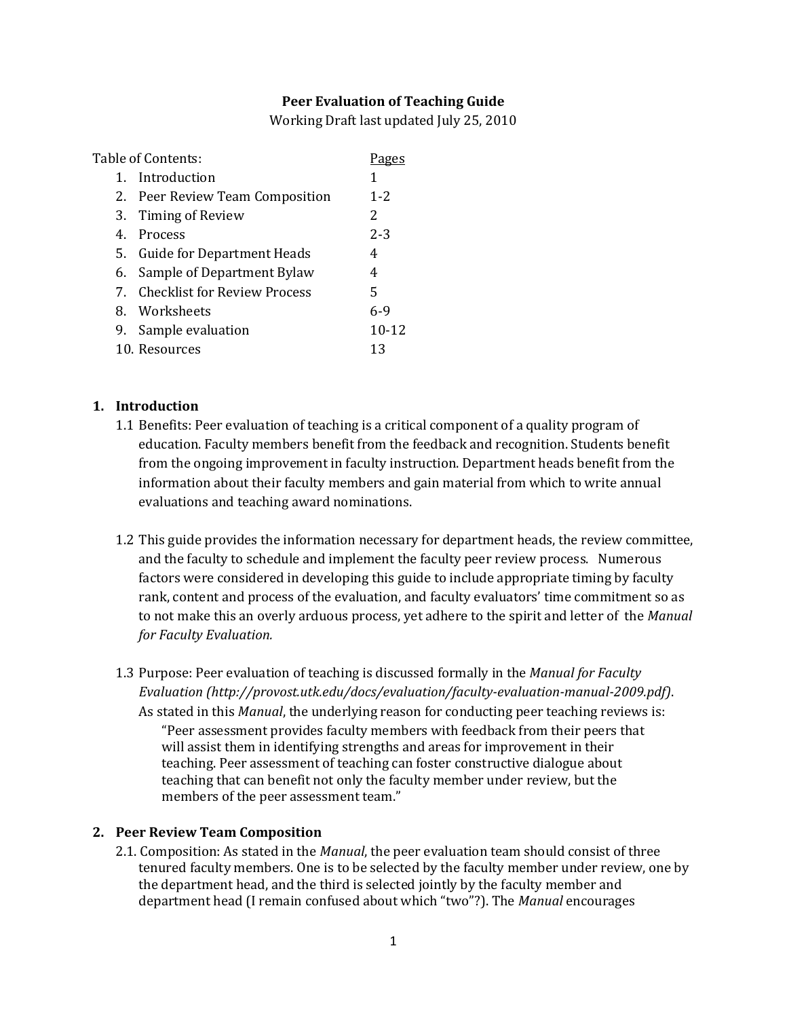### **Peer Evaluation of Teaching Guide**

Working Draft last updated July 25, 2010

| Table of Contents: |                                 |           |
|--------------------|---------------------------------|-----------|
| $1_{-}$            | Introduction                    |           |
|                    | 2. Peer Review Team Composition | $1 - 2$   |
|                    | 3. Timing of Review             | 2         |
|                    | 4. Process                      | $2 - 3$   |
|                    | 5. Guide for Department Heads   | 4         |
| 6.                 | Sample of Department Bylaw      | 4         |
|                    | 7. Checklist for Review Process | 5         |
|                    | 8. Worksheets                   | 6-9       |
|                    | 9. Sample evaluation            | $10 - 12$ |
|                    | 10. Resources                   | 13        |

### **1. Introduction**

- 1.1 Benefits: Peer evaluation of teaching is a critical component of a quality program of education. Faculty members benefit from the feedback and recognition. Students benefit from the ongoing improvement in faculty instruction. Department heads benefit from the information about their faculty members and gain material from which to write annual evaluations and teaching award nominations.
- 1.2 This guide provides the information necessary for department heads, the review committee, and the faculty to schedule and implement the faculty peer review process. Numerous factors were considered in developing this guide to include appropriate timing by faculty rank, content and process of the evaluation, and faculty evaluators' time commitment so as to not make this an overly arduous process, yet adhere to the spirit and letter of the *Manual for Faculty Evaluation.*
- 1.3 Purpose: Peer evaluation of teaching is discussed formally in the *Manual for Faculty Evaluation (http://provost.utk.edu/docs/evaluation/faculty-evaluation-manual-2009.pdf)*. As stated in this *Manual*, the underlying reason for conducting peer teaching reviews is: "Peer assessment provides faculty members with feedback from their peers that will assist them in identifying strengths and areas for improvement in their teaching. Peer assessment of teaching can foster constructive dialogue about teaching that can benefit not only the faculty member under review, but the members of the peer assessment team."

#### **2. Peer Review Team Composition**

2.1. Composition: As stated in the *Manual*, the peer evaluation team should consist of three tenured faculty members. One is to be selected by the faculty member under review, one by the department head, and the third is selected jointly by the faculty member and department head (I remain confused about which "two"?). The *Manual* encourages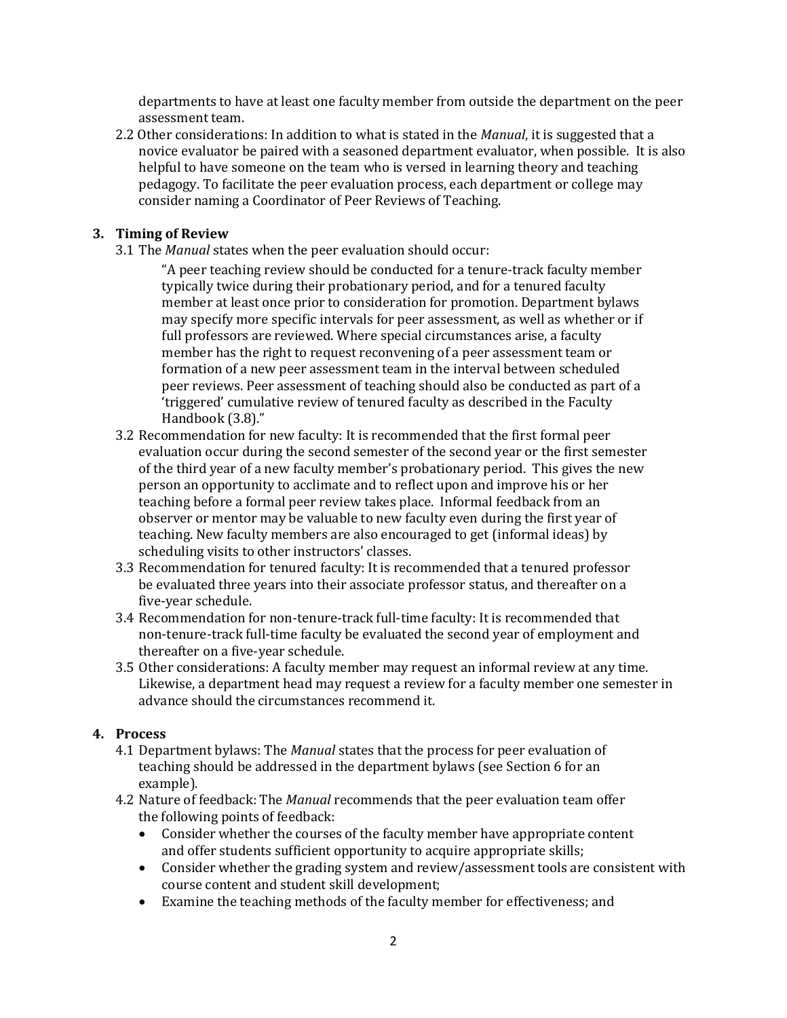departments to have at least one faculty member from outside the department on the peer assessment team.

2.2 Other considerations: In addition to what is stated in the *Manual*, it is suggested that a novice evaluator be paired with a seasoned department evaluator, when possible. It is also helpful to have someone on the team who is versed in learning theory and teaching pedagogy. To facilitate the peer evaluation process, each department or college may consider naming a Coordinator of Peer Reviews of Teaching.

### **3. Timing of Review**

3.1 The *Manual* states when the peer evaluation should occur:

"A peer teaching review should be conducted for a tenure-track faculty member typically twice during their probationary period, and for a tenured faculty member at least once prior to consideration for promotion. Department bylaws may specify more specific intervals for peer assessment, as well as whether or if full professors are reviewed. Where special circumstances arise, a faculty member has the right to request reconvening of a peer assessment team or formation of a new peer assessment team in the interval between scheduled peer reviews. Peer assessment of teaching should also be conducted as part of a 'triggered' cumulative review of tenured faculty as described in the Faculty Handbook (3.8)."

- 3.2 Recommendation for new faculty: It is recommended that the first formal peer evaluation occur during the second semester of the second year or the first semester of the third year of a new faculty member's probationary period. This gives the new person an opportunity to acclimate and to reflect upon and improve his or her teaching before a formal peer review takes place. Informal feedback from an observer or mentor may be valuable to new faculty even during the first year of teaching. New faculty members are also encouraged to get (informal ideas) by scheduling visits to other instructors' classes.
- 3.3 Recommendation for tenured faculty: It is recommended that a tenured professor be evaluated three years into their associate professor status, and thereafter on a five-year schedule.
- 3.4 Recommendation for non-tenure-track full-time faculty: It is recommended that non-tenure-track full-time faculty be evaluated the second year of employment and thereafter on a five-year schedule.
- 3.5 Other considerations: A faculty member may request an informal review at any time. Likewise, a department head may request a review for a faculty member one semester in advance should the circumstances recommend it.

### **4. Process**

- 4.1 Department bylaws: The *Manual* states that the process for peer evaluation of teaching should be addressed in the department bylaws (see Section 6 for an example).
- 4.2 Nature of feedback: The *Manual* recommends that the peer evaluation team offer the following points of feedback:
	- Consider whether the courses of the faculty member have appropriate content and offer students sufficient opportunity to acquire appropriate skills;
	- Consider whether the grading system and review/assessment tools are consistent with course content and student skill development;
	- Examine the teaching methods of the faculty member for effectiveness; and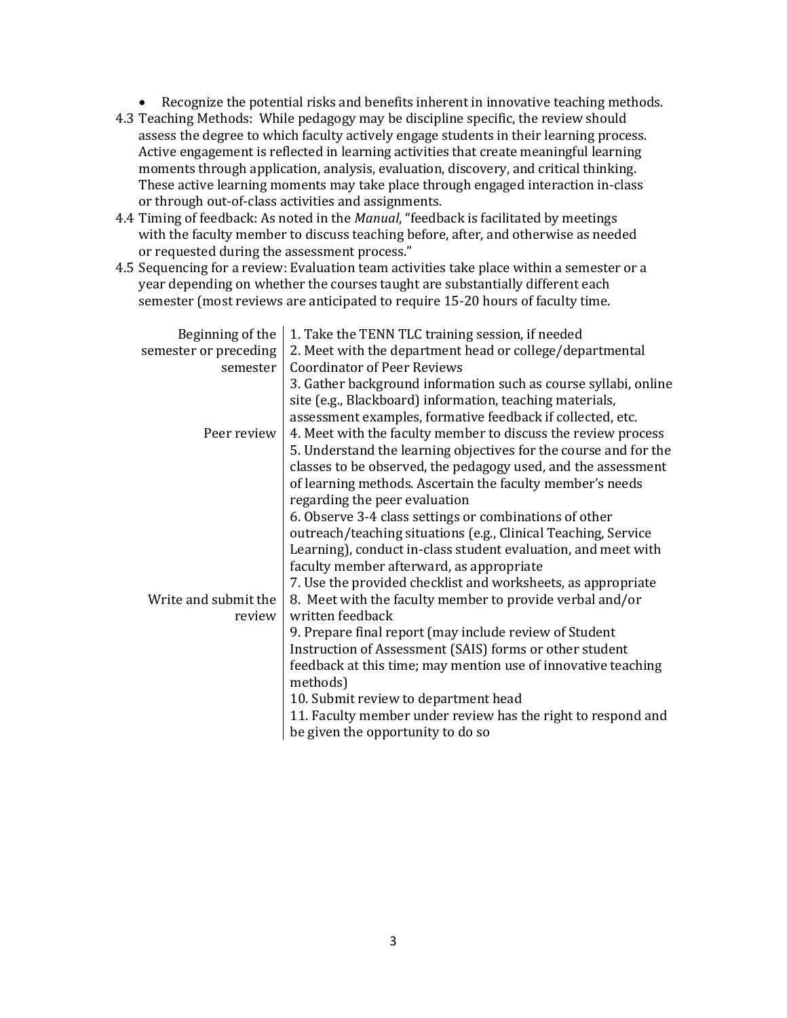- Recognize the potential risks and benefits inherent in innovative teaching methods.
- 4.3 Teaching Methods: While pedagogy may be discipline specific, the review should assess the degree to which faculty actively engage students in their learning process. Active engagement is reflected in learning activities that create meaningful learning moments through application, analysis, evaluation, discovery, and critical thinking. These active learning moments may take place through engaged interaction in-class or through out-of-class activities and assignments.
- 4.4 Timing of feedback: As noted in the *Manual*, "feedback is facilitated by meetings with the faculty member to discuss teaching before, after, and otherwise as needed or requested during the assessment process."
- 4.5 Sequencing for a review: Evaluation team activities take place within a semester or a year depending on whether the courses taught are substantially different each semester (most reviews are anticipated to require 15-20 hours of faculty time.

| Beginning of the      | 1. Take the TENN TLC training session, if needed                                                                                                                                          |
|-----------------------|-------------------------------------------------------------------------------------------------------------------------------------------------------------------------------------------|
| semester or preceding | 2. Meet with the department head or college/departmental                                                                                                                                  |
| semester              | <b>Coordinator of Peer Reviews</b>                                                                                                                                                        |
|                       | 3. Gather background information such as course syllabi, online<br>site (e.g., Blackboard) information, teaching materials,<br>assessment examples, formative feedback if collected, etc. |
| Peer review           | 4. Meet with the faculty member to discuss the review process                                                                                                                             |
|                       | 5. Understand the learning objectives for the course and for the                                                                                                                          |
|                       | classes to be observed, the pedagogy used, and the assessment                                                                                                                             |
|                       | of learning methods. Ascertain the faculty member's needs                                                                                                                                 |
|                       | regarding the peer evaluation                                                                                                                                                             |
|                       | 6. Observe 3-4 class settings or combinations of other                                                                                                                                    |
|                       | outreach/teaching situations (e.g., Clinical Teaching, Service                                                                                                                            |
|                       | Learning), conduct in-class student evaluation, and meet with                                                                                                                             |
|                       | faculty member afterward, as appropriate                                                                                                                                                  |
|                       | 7. Use the provided checklist and worksheets, as appropriate                                                                                                                              |
| Write and submit the  | 8. Meet with the faculty member to provide verbal and/or                                                                                                                                  |
| review                | written feedback                                                                                                                                                                          |
|                       | 9. Prepare final report (may include review of Student                                                                                                                                    |
|                       | Instruction of Assessment (SAIS) forms or other student                                                                                                                                   |
|                       | feedback at this time; may mention use of innovative teaching<br>methods)                                                                                                                 |
|                       | 10. Submit review to department head                                                                                                                                                      |
|                       | 11. Faculty member under review has the right to respond and                                                                                                                              |
|                       | be given the opportunity to do so                                                                                                                                                         |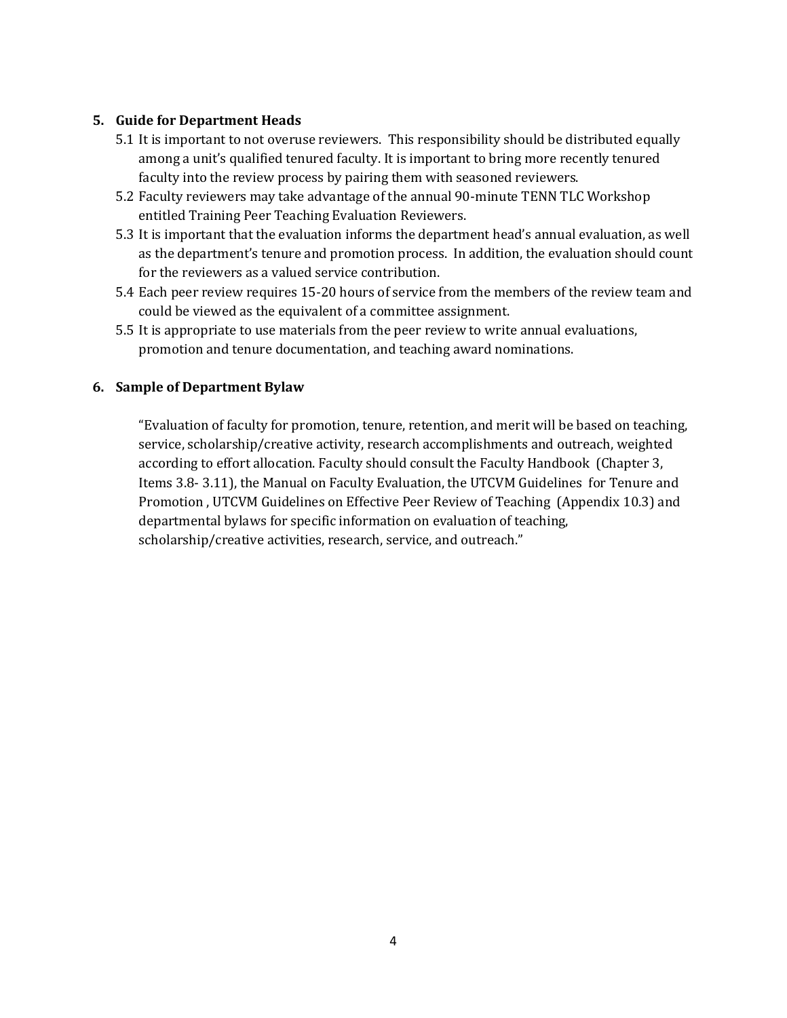## **5. Guide for Department Heads**

- 5.1 It is important to not overuse reviewers. This responsibility should be distributed equally among a unit's qualified tenured faculty. It is important to bring more recently tenured faculty into the review process by pairing them with seasoned reviewers.
- 5.2 Faculty reviewers may take advantage of the annual 90-minute TENN TLC Workshop entitled Training Peer Teaching Evaluation Reviewers.
- 5.3 It is important that the evaluation informs the department head's annual evaluation, as well as the department's tenure and promotion process. In addition, the evaluation should count for the reviewers as a valued service contribution.
- 5.4 Each peer review requires 15-20 hours of service from the members of the review team and could be viewed as the equivalent of a committee assignment.
- 5.5 It is appropriate to use materials from the peer review to write annual evaluations, promotion and tenure documentation, and teaching award nominations.

## **6. Sample of Department Bylaw**

"Evaluation of faculty for promotion, tenure, retention, and merit will be based on teaching, service, scholarship/creative activity, research accomplishments and outreach, weighted according to effort allocation. Faculty should consult the Faculty Handbook (Chapter 3, Items 3.8- 3.11), the Manual on Faculty Evaluation, the UTCVM Guidelines for Tenure and Promotion , UTCVM Guidelines on Effective Peer Review of Teaching (Appendix 10.3) and departmental bylaws for specific information on evaluation of teaching, scholarship/creative activities, research, service, and outreach."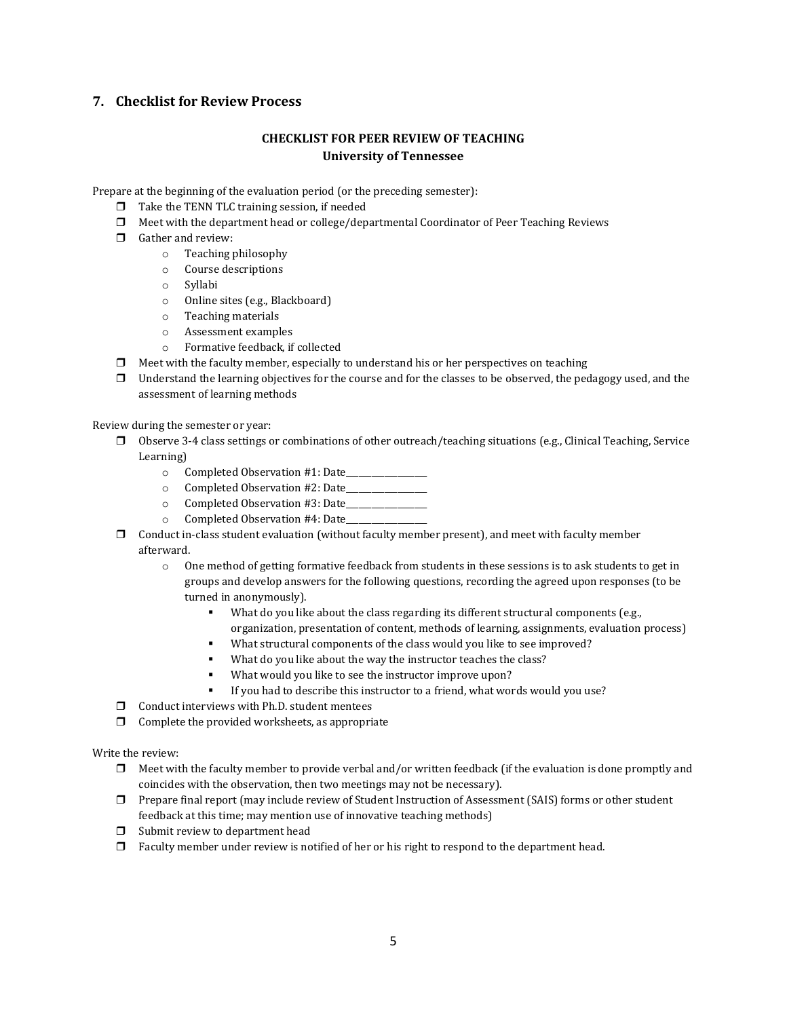#### **7. Checklist for Review Process**

### **CHECKLIST FOR PEER REVIEW OF TEACHING University of Tennessee**

Prepare at the beginning of the evaluation period (or the preceding semester):

- $\Box$  Take the TENN TLC training session, if needed
- Meet with the department head or college/departmental Coordinator of Peer Teaching Reviews
- Gather and review:
	- o Teaching philosophy
	- o Course descriptions
	- o Syllabi
	- o Online sites (e.g., Blackboard)
	- o Teaching materials
	- o Assessment examples
	- o Formative feedback, if collected
- $\Box$  Meet with the faculty member, especially to understand his or her perspectives on teaching
- $\Box$  Understand the learning objectives for the course and for the classes to be observed, the pedagogy used, and the assessment of learning methods

Review during the semester or year:

- $\Box$  Observe 3-4 class settings or combinations of other outreach/teaching situations (e.g., Clinical Teaching, Service Learning)
	- o Completed Observation #1: Date\_\_\_\_\_\_\_\_\_\_\_\_\_\_\_\_\_\_\_
	- o Completed Observation #2: Date\_\_\_\_\_\_\_\_\_\_\_\_\_\_\_\_\_\_\_
	- $\circ$  Completed Observation #3: Date
	- $\circ$  Completed Observation #4: Date
- $\Box$  Conduct in-class student evaluation (without faculty member present), and meet with faculty member afterward.
	- o One method of getting formative feedback from students in these sessions is to ask students to get in groups and develop answers for the following questions, recording the agreed upon responses (to be turned in anonymously).
		- What do you like about the class regarding its different structural components (e.g., organization, presentation of content, methods of learning, assignments, evaluation process)
		- What structural components of the class would you like to see improved?
		- What do you like about the way the instructor teaches the class?
		- What would you like to see the instructor improve upon?
		- If you had to describe this instructor to a friend, what words would you use?
- $\Box$  Conduct interviews with Ph.D. student mentees
- $\Box$  Complete the provided worksheets, as appropriate

Write the review:

- $\Box$  Meet with the faculty member to provide verbal and/or written feedback (if the evaluation is done promptly and coincides with the observation, then two meetings may not be necessary).
- Prepare final report (may include review of Student Instruction of Assessment (SAIS) forms or other student feedback at this time; may mention use of innovative teaching methods)
- $\Box$  Submit review to department head
- $\Box$  Faculty member under review is notified of her or his right to respond to the department head.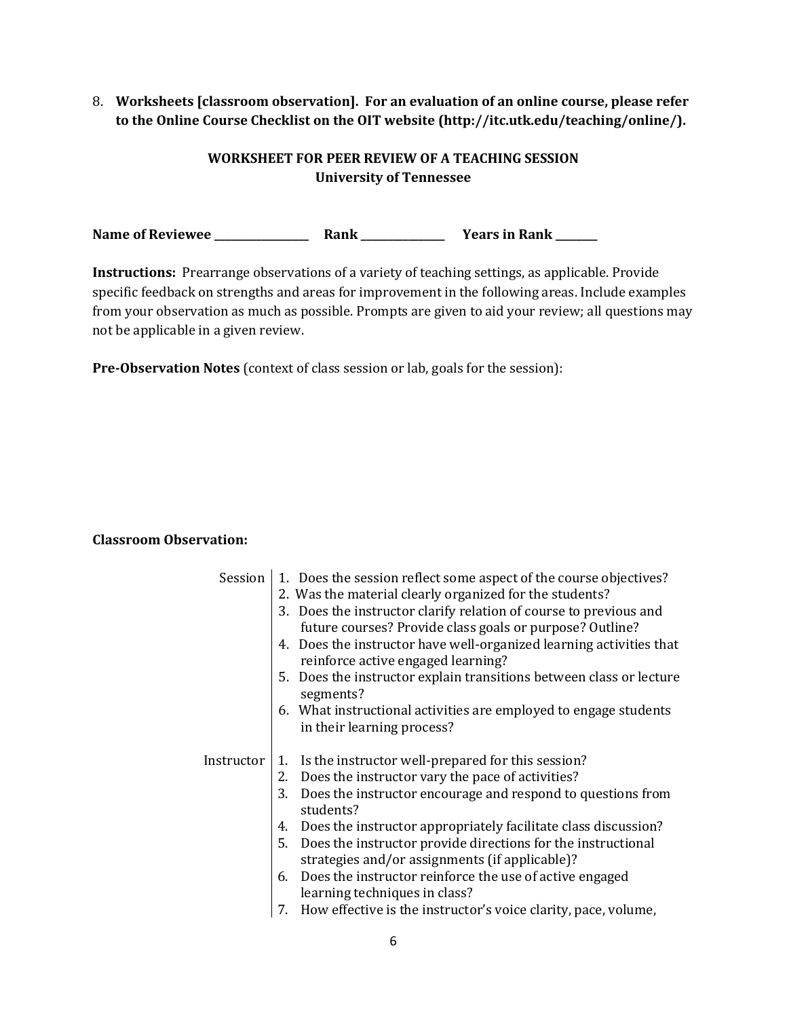8. **Worksheets [classroom observation]. For an evaluation of an online course, please refer to the Online Course Checklist on the OIT website (http://itc.utk.edu/teaching/online/).** 

# **WORKSHEET FOR PEER REVIEW OF A TEACHING SESSION University of Tennessee**

**Name of Reviewee \_\_\_\_\_\_\_\_\_\_\_\_\_\_\_\_\_\_ Rank \_\_\_\_\_\_\_\_\_\_\_\_\_\_\_\_ Years in Rank \_\_\_\_\_\_\_\_**

**Instructions:** Prearrange observations of a variety of teaching settings, as applicable. Provide specific feedback on strengths and areas for improvement in the following areas. Include examples from your observation as much as possible. Prompts are given to aid your review; all questions may not be applicable in a given review.

**Pre-Observation Notes** (context of class session or lab, goals for the session):

## **Classroom Observation:**

| Session    | 1. Does the session reflect some aspect of the course objectives?<br>2. Was the material clearly organized for the students?<br>3. Does the instructor clarify relation of course to previous and<br>future courses? Provide class goals or purpose? Outline?<br>4. Does the instructor have well-organized learning activities that<br>reinforce active engaged learning?<br>5. Does the instructor explain transitions between class or lecture<br>segments?<br>6. What instructional activities are employed to engage students<br>in their learning process?           |
|------------|----------------------------------------------------------------------------------------------------------------------------------------------------------------------------------------------------------------------------------------------------------------------------------------------------------------------------------------------------------------------------------------------------------------------------------------------------------------------------------------------------------------------------------------------------------------------------|
| Instructor | Is the instructor well-prepared for this session?<br>1.<br>Does the instructor vary the pace of activities?<br>2.<br>Does the instructor encourage and respond to questions from<br>3.<br>students?<br>Does the instructor appropriately facilitate class discussion?<br>4.<br>Does the instructor provide directions for the instructional<br>5.<br>strategies and/or assignments (if applicable)?<br>6. Does the instructor reinforce the use of active engaged<br>learning techniques in class?<br>How effective is the instructor's voice clarity, pace, volume,<br>7. |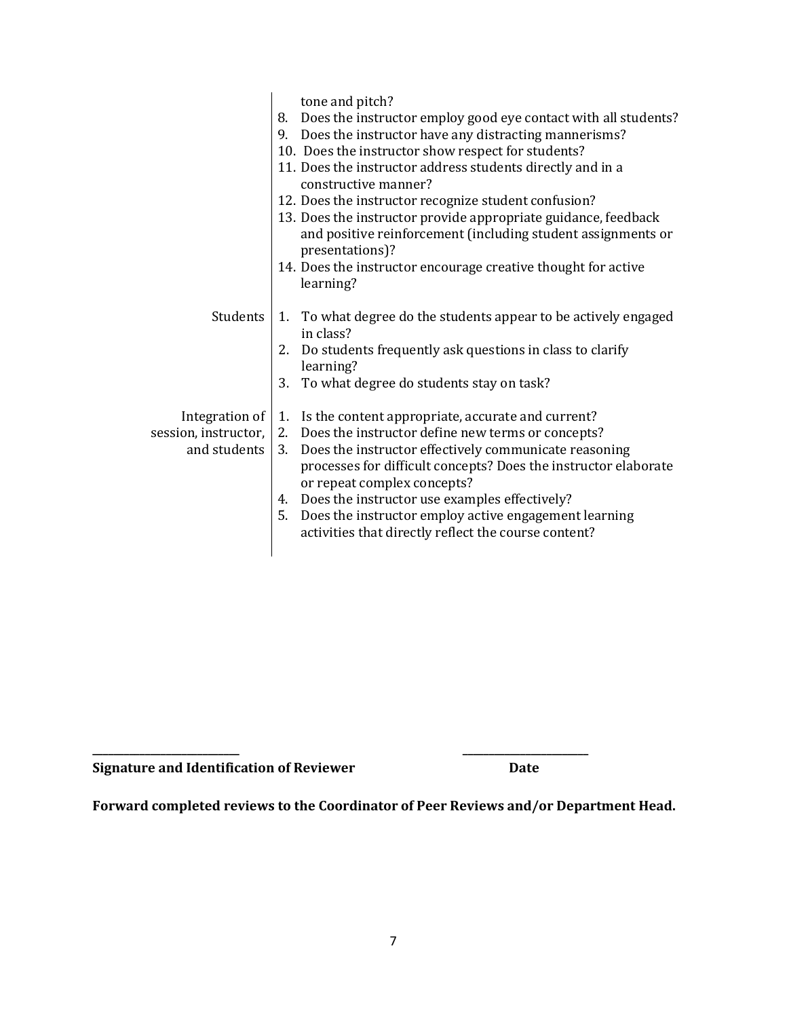|                                                          | tone and pitch?<br>8. Does the instructor employ good eye contact with all students?<br>9. Does the instructor have any distracting mannerisms?<br>10. Does the instructor show respect for students?<br>11. Does the instructor address students directly and in a<br>constructive manner?<br>12. Does the instructor recognize student confusion?<br>13. Does the instructor provide appropriate guidance, feedback<br>and positive reinforcement (including student assignments or<br>presentations)?<br>14. Does the instructor encourage creative thought for active<br>learning? |
|----------------------------------------------------------|----------------------------------------------------------------------------------------------------------------------------------------------------------------------------------------------------------------------------------------------------------------------------------------------------------------------------------------------------------------------------------------------------------------------------------------------------------------------------------------------------------------------------------------------------------------------------------------|
| Students                                                 | 1. To what degree do the students appear to be actively engaged<br>in class?<br>2. Do students frequently ask questions in class to clarify<br>learning?<br>3.<br>To what degree do students stay on task?                                                                                                                                                                                                                                                                                                                                                                             |
| Integration of<br>session, instructor,  <br>and students | 1. Is the content appropriate, accurate and current?<br>2. Does the instructor define new terms or concepts?<br>Does the instructor effectively communicate reasoning<br>3.<br>processes for difficult concepts? Does the instructor elaborate<br>or repeat complex concepts?<br>4. Does the instructor use examples effectively?<br>5. Does the instructor employ active engagement learning<br>activities that directly reflect the course content?                                                                                                                                  |

**Signature and Identification of Reviewer Date** 

**Forward completed reviews to the Coordinator of Peer Reviews and/or Department Head.**

**\_\_\_\_\_\_\_\_\_\_\_\_\_\_\_\_\_\_\_\_\_\_\_\_\_\_\_\_ \_\_\_\_\_\_\_\_\_\_\_\_\_\_\_\_\_\_\_\_\_\_\_\_**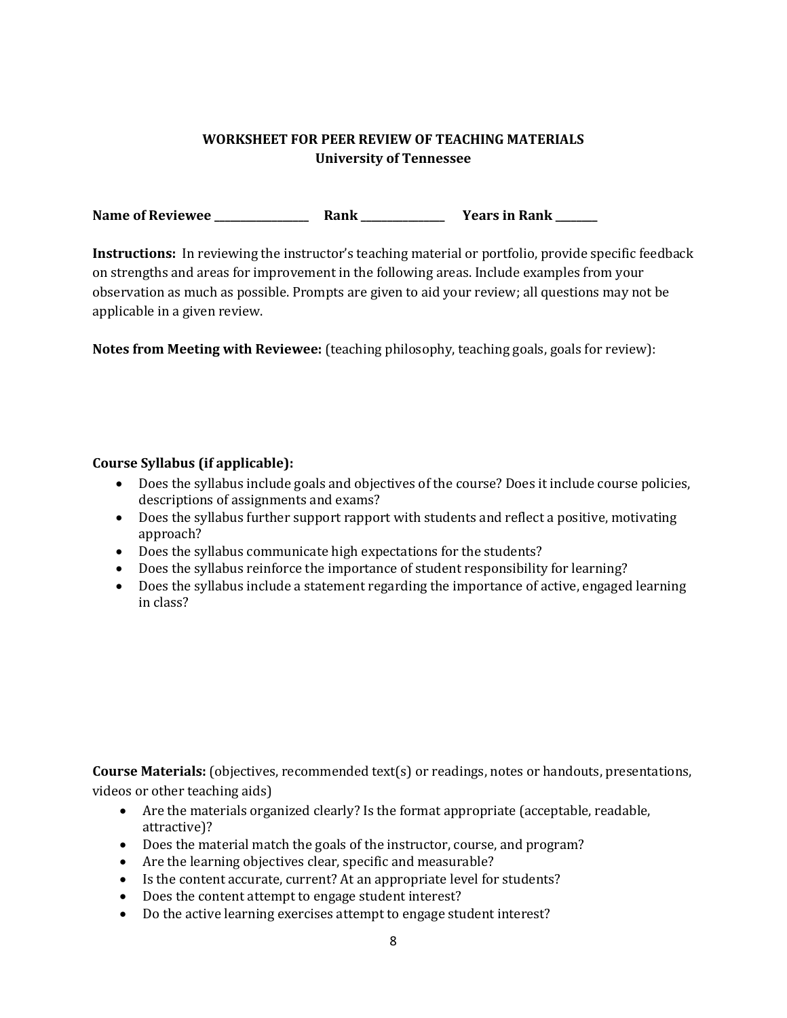# **WORKSHEET FOR PEER REVIEW OF TEACHING MATERIALS University of Tennessee**

**Name of Reviewee \_\_\_\_\_\_\_\_\_\_\_\_\_\_\_\_\_\_ Rank \_\_\_\_\_\_\_\_\_\_\_\_\_\_\_\_ Years in Rank \_\_\_\_\_\_\_\_**

**Instructions:** In reviewing the instructor's teaching material or portfolio, provide specific feedback on strengths and areas for improvement in the following areas. Include examples from your observation as much as possible. Prompts are given to aid your review; all questions may not be applicable in a given review.

**Notes from Meeting with Reviewee:** (teaching philosophy, teaching goals, goals for review):

## **Course Syllabus (if applicable):**

- Does the syllabus include goals and objectives of the course? Does it include course policies, descriptions of assignments and exams?
- Does the syllabus further support rapport with students and reflect a positive, motivating approach?
- Does the syllabus communicate high expectations for the students?
- Does the syllabus reinforce the importance of student responsibility for learning?
- Does the syllabus include a statement regarding the importance of active, engaged learning in class?

**Course Materials:** (objectives, recommended text(s) or readings, notes or handouts, presentations, videos or other teaching aids)

- Are the materials organized clearly? Is the format appropriate (acceptable, readable, attractive)?
- Does the material match the goals of the instructor, course, and program?
- Are the learning objectives clear, specific and measurable?
- Is the content accurate, current? At an appropriate level for students?
- Does the content attempt to engage student interest?
- Do the active learning exercises attempt to engage student interest?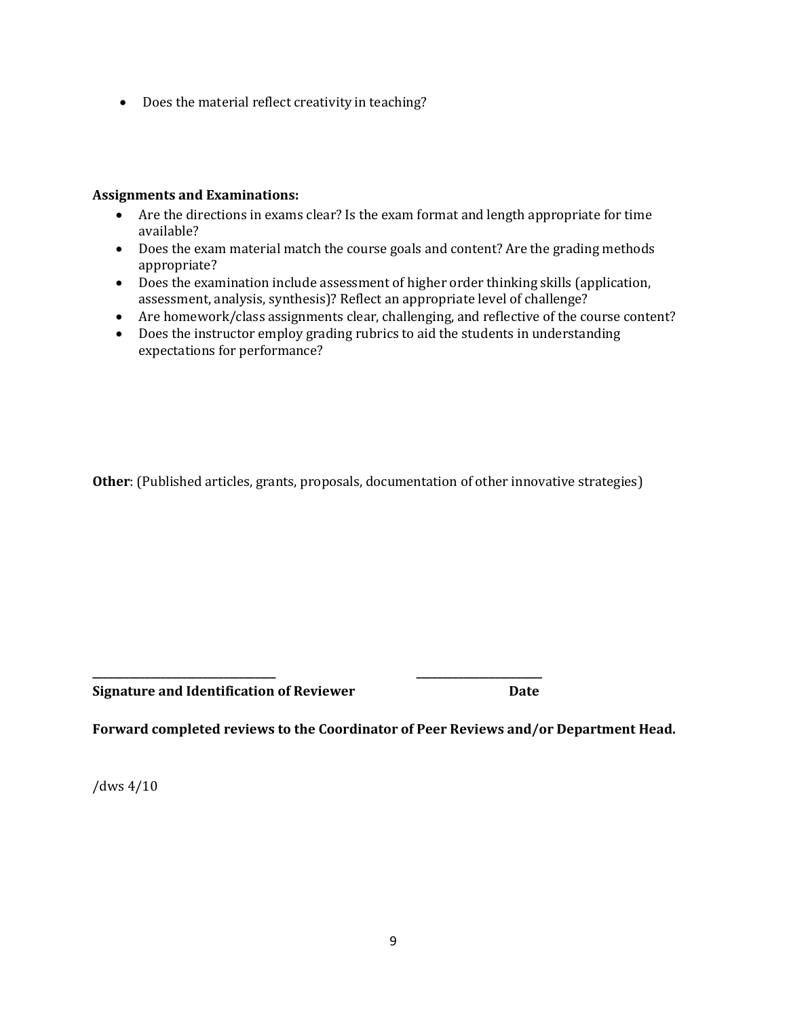Does the material reflect creativity in teaching?

## **Assignments and Examinations:**

- Are the directions in exams clear? Is the exam format and length appropriate for time available?
- Does the exam material match the course goals and content? Are the grading methods appropriate?
- Does the examination include assessment of higher order thinking skills (application, assessment, analysis, synthesis)? Reflect an appropriate level of challenge?
- Are homework/class assignments clear, challenging, and reflective of the course content?
- Does the instructor employ grading rubrics to aid the students in understanding expectations for performance?

**Other**: (Published articles, grants, proposals, documentation of other innovative strategies)

**Signature and Identification of Reviewer Date**

**Forward completed reviews to the Coordinator of Peer Reviews and/or Department Head.**

**\_\_\_\_\_\_\_\_\_\_\_\_\_\_\_\_\_\_\_\_\_\_\_\_\_\_\_\_\_\_\_\_\_\_\_ \_\_\_\_\_\_\_\_\_\_\_\_\_\_\_\_\_\_\_\_\_\_\_\_**

/dws 4/10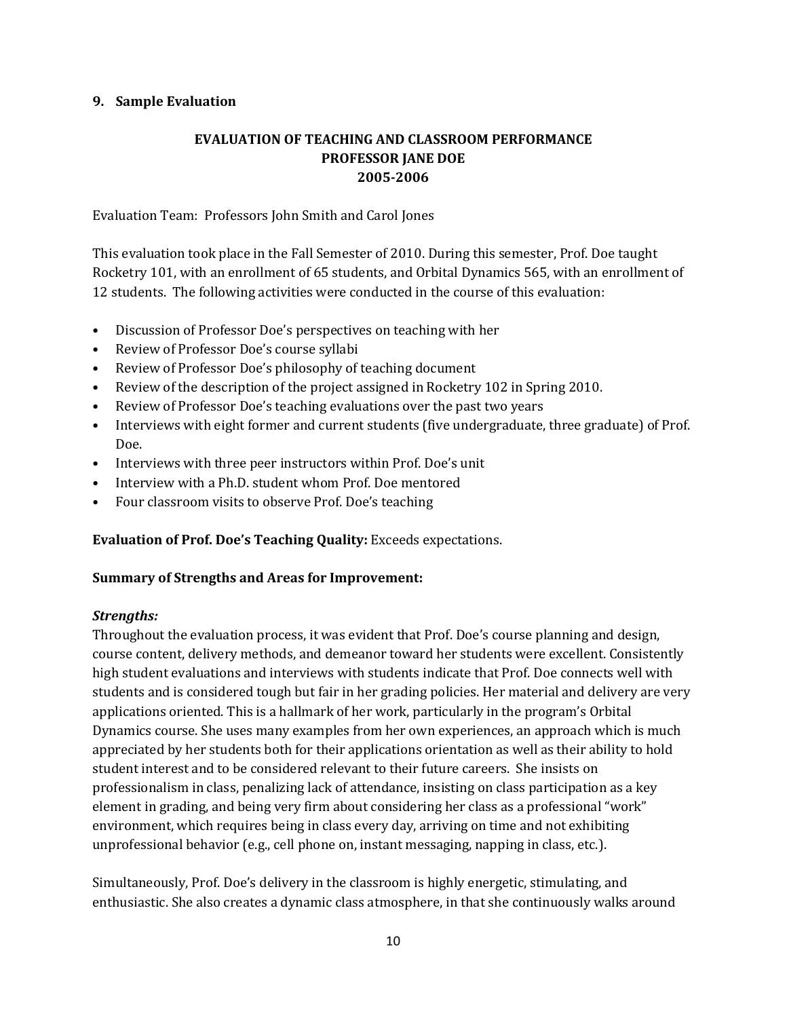## **9. Sample Evaluation**

# **EVALUATION OF TEACHING AND CLASSROOM PERFORMANCE PROFESSOR JANE DOE 2005-2006**

Evaluation Team: Professors John Smith and Carol Jones

This evaluation took place in the Fall Semester of 2010. During this semester, Prof. Doe taught Rocketry 101, with an enrollment of 65 students, and Orbital Dynamics 565, with an enrollment of 12 students. The following activities were conducted in the course of this evaluation:

- Discussion of Professor Doe's perspectives on teaching with her
- Review of Professor Doe's course syllabi
- Review of Professor Doe's philosophy of teaching document
- Review of the description of the project assigned in Rocketry 102 in Spring 2010.
- Review of Professor Doe's teaching evaluations over the past two years
- Interviews with eight former and current students (five undergraduate, three graduate) of Prof. Doe.
- Interviews with three peer instructors within Prof. Doe's unit
- Interview with a Ph.D. student whom Prof. Doe mentored
- Four classroom visits to observe Prof. Doe's teaching

**Evaluation of Prof. Doe's Teaching Quality:** Exceeds expectations.

### **Summary of Strengths and Areas for Improvement:**

### *Strengths:*

Throughout the evaluation process, it was evident that Prof. Doe's course planning and design, course content, delivery methods, and demeanor toward her students were excellent. Consistently high student evaluations and interviews with students indicate that Prof. Doe connects well with students and is considered tough but fair in her grading policies. Her material and delivery are very applications oriented. This is a hallmark of her work, particularly in the program's Orbital Dynamics course. She uses many examples from her own experiences, an approach which is much appreciated by her students both for their applications orientation as well as their ability to hold student interest and to be considered relevant to their future careers. She insists on professionalism in class, penalizing lack of attendance, insisting on class participation as a key element in grading, and being very firm about considering her class as a professional "work" environment, which requires being in class every day, arriving on time and not exhibiting unprofessional behavior (e.g., cell phone on, instant messaging, napping in class, etc.).

Simultaneously, Prof. Doe's delivery in the classroom is highly energetic, stimulating, and enthusiastic. She also creates a dynamic class atmosphere, in that she continuously walks around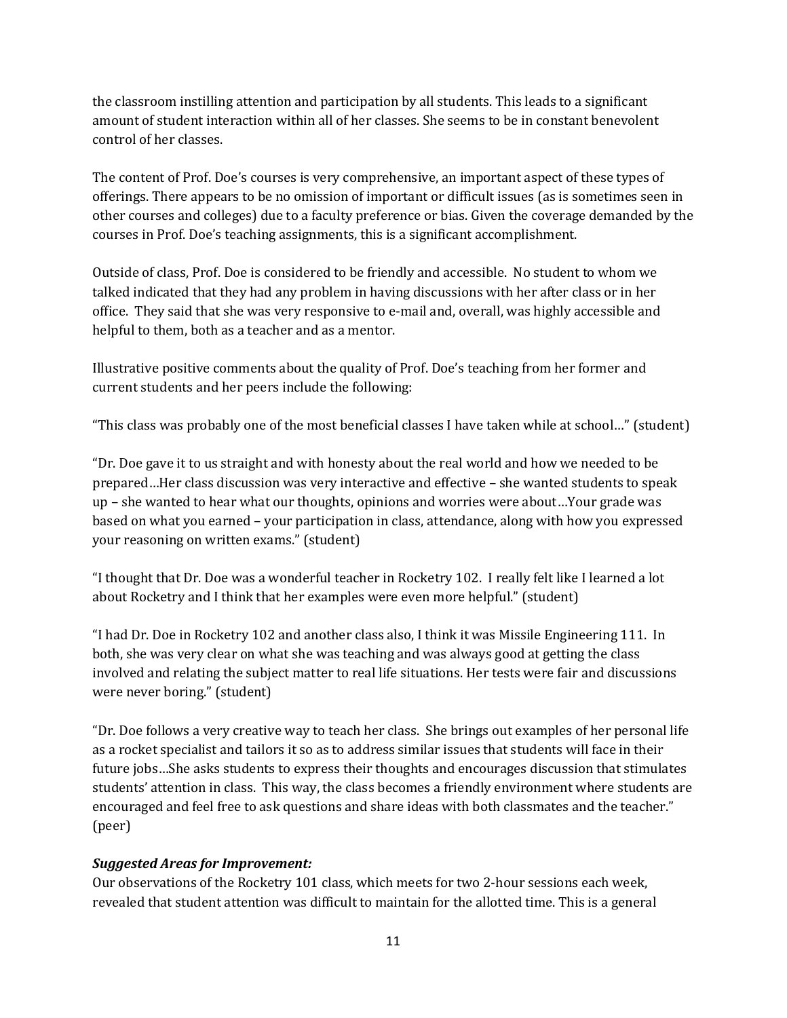the classroom instilling attention and participation by all students. This leads to a significant amount of student interaction within all of her classes. She seems to be in constant benevolent control of her classes.

The content of Prof. Doe's courses is very comprehensive, an important aspect of these types of offerings. There appears to be no omission of important or difficult issues (as is sometimes seen in other courses and colleges) due to a faculty preference or bias. Given the coverage demanded by the courses in Prof. Doe's teaching assignments, this is a significant accomplishment.

Outside of class, Prof. Doe is considered to be friendly and accessible. No student to whom we talked indicated that they had any problem in having discussions with her after class or in her office. They said that she was very responsive to e-mail and, overall, was highly accessible and helpful to them, both as a teacher and as a mentor.

Illustrative positive comments about the quality of Prof. Doe's teaching from her former and current students and her peers include the following:

"This class was probably one of the most beneficial classes I have taken while at school…" (student)

"Dr. Doe gave it to us straight and with honesty about the real world and how we needed to be prepared…Her class discussion was very interactive and effective – she wanted students to speak up – she wanted to hear what our thoughts, opinions and worries were about…Your grade was based on what you earned – your participation in class, attendance, along with how you expressed your reasoning on written exams." (student)

"I thought that Dr. Doe was a wonderful teacher in Rocketry 102. I really felt like I learned a lot about Rocketry and I think that her examples were even more helpful." (student)

"I had Dr. Doe in Rocketry 102 and another class also, I think it was Missile Engineering 111. In both, she was very clear on what she was teaching and was always good at getting the class involved and relating the subject matter to real life situations. Her tests were fair and discussions were never boring." (student)

"Dr. Doe follows a very creative way to teach her class. She brings out examples of her personal life as a rocket specialist and tailors it so as to address similar issues that students will face in their future jobs…She asks students to express their thoughts and encourages discussion that stimulates students' attention in class. This way, the class becomes a friendly environment where students are encouraged and feel free to ask questions and share ideas with both classmates and the teacher." (peer)

# *Suggested Areas for Improvement:*

Our observations of the Rocketry 101 class, which meets for two 2-hour sessions each week, revealed that student attention was difficult to maintain for the allotted time. This is a general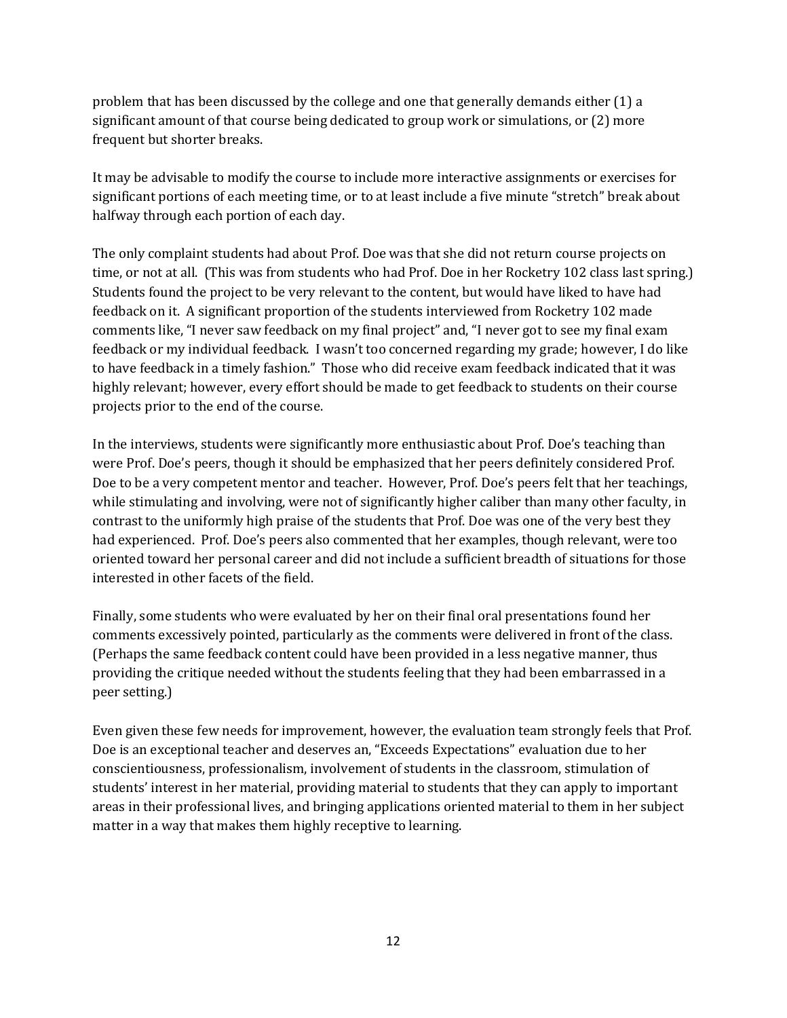problem that has been discussed by the college and one that generally demands either (1) a significant amount of that course being dedicated to group work or simulations, or (2) more frequent but shorter breaks.

It may be advisable to modify the course to include more interactive assignments or exercises for significant portions of each meeting time, or to at least include a five minute "stretch" break about halfway through each portion of each day.

The only complaint students had about Prof. Doe was that she did not return course projects on time, or not at all. (This was from students who had Prof. Doe in her Rocketry 102 class last spring.) Students found the project to be very relevant to the content, but would have liked to have had feedback on it. A significant proportion of the students interviewed from Rocketry 102 made comments like, "I never saw feedback on my final project" and, "I never got to see my final exam feedback or my individual feedback. I wasn't too concerned regarding my grade; however, I do like to have feedback in a timely fashion." Those who did receive exam feedback indicated that it was highly relevant; however, every effort should be made to get feedback to students on their course projects prior to the end of the course.

In the interviews, students were significantly more enthusiastic about Prof. Doe's teaching than were Prof. Doe's peers, though it should be emphasized that her peers definitely considered Prof. Doe to be a very competent mentor and teacher. However, Prof. Doe's peers felt that her teachings, while stimulating and involving, were not of significantly higher caliber than many other faculty, in contrast to the uniformly high praise of the students that Prof. Doe was one of the very best they had experienced. Prof. Doe's peers also commented that her examples, though relevant, were too oriented toward her personal career and did not include a sufficient breadth of situations for those interested in other facets of the field.

Finally, some students who were evaluated by her on their final oral presentations found her comments excessively pointed, particularly as the comments were delivered in front of the class. (Perhaps the same feedback content could have been provided in a less negative manner, thus providing the critique needed without the students feeling that they had been embarrassed in a peer setting.)

Even given these few needs for improvement, however, the evaluation team strongly feels that Prof. Doe is an exceptional teacher and deserves an, "Exceeds Expectations" evaluation due to her conscientiousness, professionalism, involvement of students in the classroom, stimulation of students' interest in her material, providing material to students that they can apply to important areas in their professional lives, and bringing applications oriented material to them in her subject matter in a way that makes them highly receptive to learning.